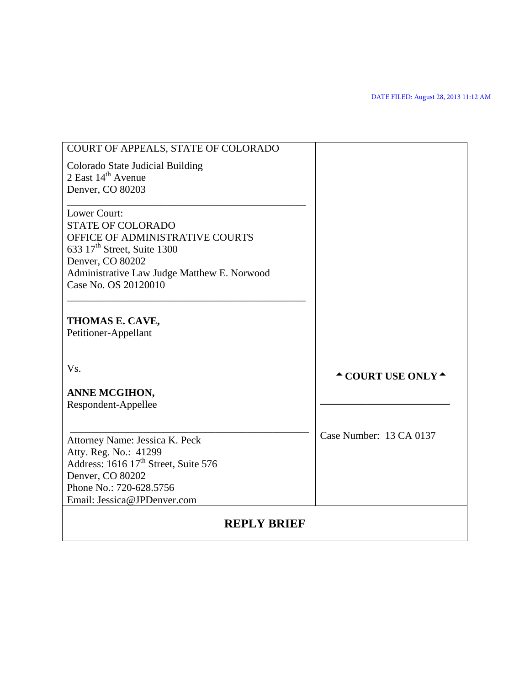| COURT OF APPEALS, STATE OF COLORADO                                        |                                        |
|----------------------------------------------------------------------------|----------------------------------------|
| Colorado State Judicial Building                                           |                                        |
| 2 East 14 <sup>th</sup> Avenue                                             |                                        |
| Denver, CO 80203                                                           |                                        |
|                                                                            |                                        |
| Lower Court:                                                               |                                        |
| <b>STATE OF COLORADO</b>                                                   |                                        |
| OFFICE OF ADMINISTRATIVE COURTS<br>633 17 <sup>th</sup> Street, Suite 1300 |                                        |
| Denver, CO 80202                                                           |                                        |
| Administrative Law Judge Matthew E. Norwood                                |                                        |
| Case No. OS 20120010                                                       |                                        |
|                                                                            |                                        |
|                                                                            |                                        |
| THOMAS E. CAVE,                                                            |                                        |
| Petitioner-Appellant                                                       |                                        |
|                                                                            |                                        |
| Vs.                                                                        |                                        |
|                                                                            | $\triangle$ COURT USE ONLY $\triangle$ |
| ANNE MCGIHON,                                                              |                                        |
| Respondent-Appellee                                                        |                                        |
|                                                                            |                                        |
|                                                                            | Case Number: 13 CA 0137                |
| Attorney Name: Jessica K. Peck                                             |                                        |
| Atty. Reg. No.: 41299                                                      |                                        |
| Address: 1616 17 <sup>th</sup> Street, Suite 576                           |                                        |
| Denver, CO 80202<br>Phone No.: 720-628.5756                                |                                        |
| Email: Jessica@JPDenver.com                                                |                                        |
|                                                                            |                                        |
| <b>REPLY BRIEF</b>                                                         |                                        |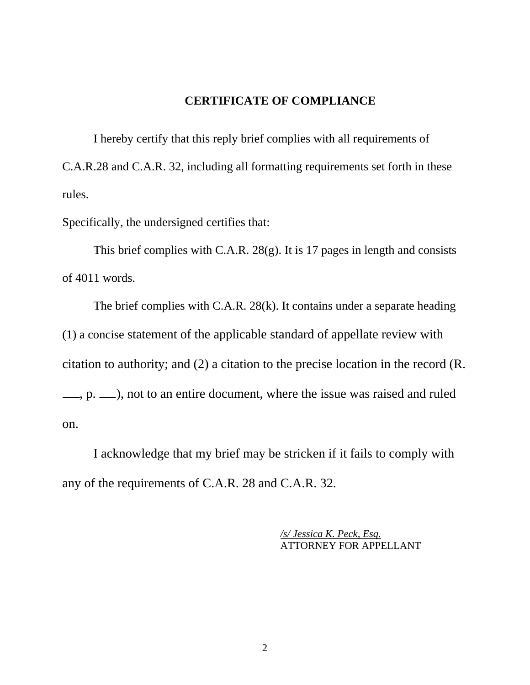## **CERTIFICATE OF COMPLIANCE**

I hereby certify that this reply brief complies with all requirements of C.A.R.28 and C.A.R. 32, including all formatting requirements set forth in these rules.

Specifically, the undersigned certifies that:

This brief complies with C.A.R. 28(g). It is 17 pages in length and consists of 4011 words.

The brief complies with C.A.R. 28(k). It contains under a separate heading (1) a concise statement of the applicable standard of appellate review with citation to authority; and (2) a citation to the precise location in the record (R.  $\mu$ , p.  $\mu$ ), not to an entire document, where the issue was raised and ruled on.

I acknowledge that my brief may be stricken if it fails to comply with any of the requirements of C.A.R. 28 and C.A.R. 32.

> */s/ Jessica K. Peck, Esq.* ATTORNEY FOR APPELLANT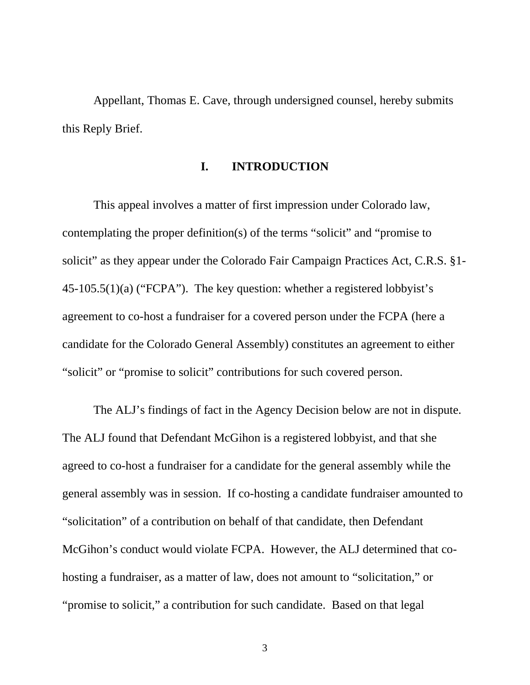Appellant, Thomas E. Cave, through undersigned counsel, hereby submits this Reply Brief.

### **I. INTRODUCTION**

This appeal involves a matter of first impression under Colorado law, contemplating the proper definition(s) of the terms "solicit" and "promise to solicit" as they appear under the Colorado Fair Campaign Practices Act, C.R.S. §1- 45-105.5(1)(a) ("FCPA"). The key question: whether a registered lobbyist's agreement to co-host a fundraiser for a covered person under the FCPA (here a candidate for the Colorado General Assembly) constitutes an agreement to either "solicit" or "promise to solicit" contributions for such covered person.

The ALJ's findings of fact in the Agency Decision below are not in dispute. The ALJ found that Defendant McGihon is a registered lobbyist, and that she agreed to co-host a fundraiser for a candidate for the general assembly while the general assembly was in session. If co-hosting a candidate fundraiser amounted to "solicitation" of a contribution on behalf of that candidate, then Defendant McGihon's conduct would violate FCPA. However, the ALJ determined that cohosting a fundraiser, as a matter of law, does not amount to "solicitation," or "promise to solicit," a contribution for such candidate. Based on that legal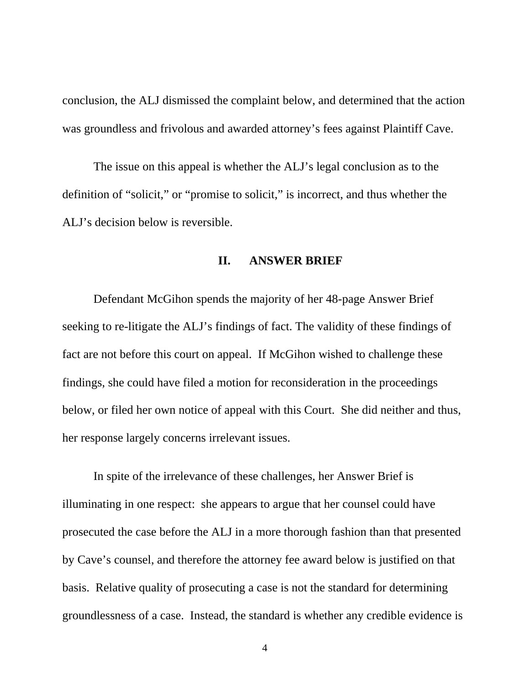conclusion, the ALJ dismissed the complaint below, and determined that the action was groundless and frivolous and awarded attorney's fees against Plaintiff Cave.

The issue on this appeal is whether the ALJ's legal conclusion as to the definition of "solicit," or "promise to solicit," is incorrect, and thus whether the ALJ's decision below is reversible.

### **II. ANSWER BRIEF**

Defendant McGihon spends the majority of her 48-page Answer Brief seeking to re-litigate the ALJ's findings of fact. The validity of these findings of fact are not before this court on appeal. If McGihon wished to challenge these findings, she could have filed a motion for reconsideration in the proceedings below, or filed her own notice of appeal with this Court. She did neither and thus, her response largely concerns irrelevant issues.

In spite of the irrelevance of these challenges, her Answer Brief is illuminating in one respect: she appears to argue that her counsel could have prosecuted the case before the ALJ in a more thorough fashion than that presented by Cave's counsel, and therefore the attorney fee award below is justified on that basis. Relative quality of prosecuting a case is not the standard for determining groundlessness of a case. Instead, the standard is whether any credible evidence is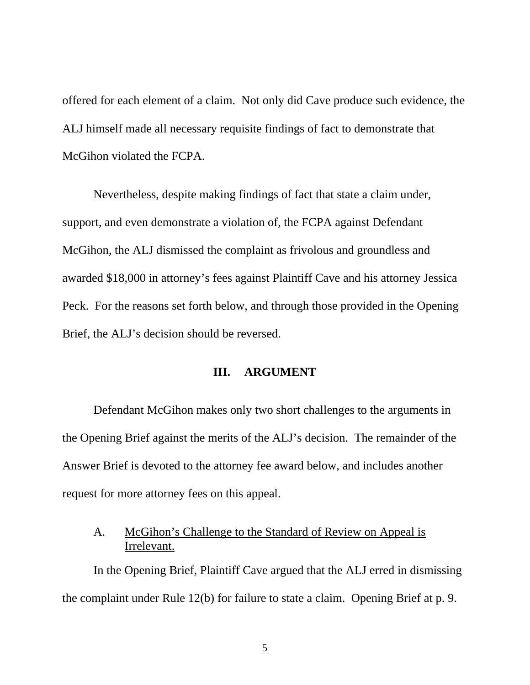offered for each element of a claim. Not only did Cave produce such evidence, the ALJ himself made all necessary requisite findings of fact to demonstrate that McGihon violated the FCPA.

Nevertheless, despite making findings of fact that state a claim under, support, and even demonstrate a violation of, the FCPA against Defendant McGihon, the ALJ dismissed the complaint as frivolous and groundless and awarded \$18,000 in attorney's fees against Plaintiff Cave and his attorney Jessica Peck. For the reasons set forth below, and through those provided in the Opening Brief, the ALJ's decision should be reversed.

# **III. ARGUMENT**

Defendant McGihon makes only two short challenges to the arguments in the Opening Brief against the merits of the ALJ's decision. The remainder of the Answer Brief is devoted to the attorney fee award below, and includes another request for more attorney fees on this appeal.

# A. McGihon's Challenge to the Standard of Review on Appeal is Irrelevant.

In the Opening Brief, Plaintiff Cave argued that the ALJ erred in dismissing the complaint under Rule 12(b) for failure to state a claim. Opening Brief at p. 9.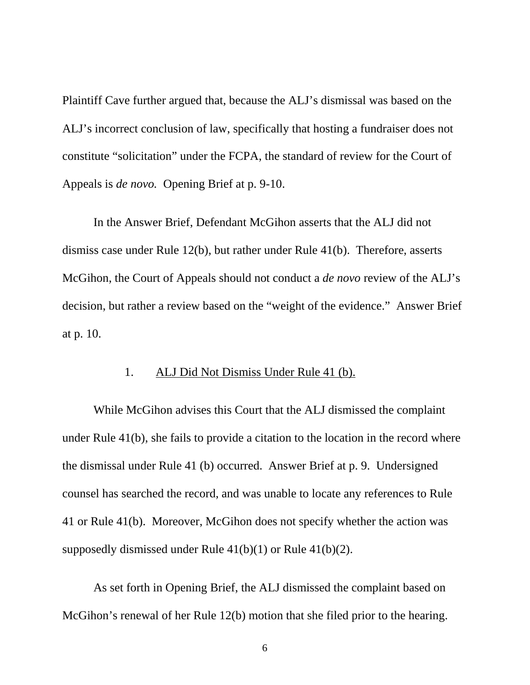Plaintiff Cave further argued that, because the ALJ's dismissal was based on the ALJ's incorrect conclusion of law, specifically that hosting a fundraiser does not constitute "solicitation" under the FCPA, the standard of review for the Court of Appeals is *de novo.* Opening Brief at p. 9-10.

In the Answer Brief, Defendant McGihon asserts that the ALJ did not dismiss case under Rule 12(b), but rather under Rule 41(b). Therefore, asserts McGihon, the Court of Appeals should not conduct a *de novo* review of the ALJ's decision, but rather a review based on the "weight of the evidence." Answer Brief at p. 10.

# 1. ALJ Did Not Dismiss Under Rule 41 (b).

While McGihon advises this Court that the ALJ dismissed the complaint under Rule 41(b), she fails to provide a citation to the location in the record where the dismissal under Rule 41 (b) occurred. Answer Brief at p. 9. Undersigned counsel has searched the record, and was unable to locate any references to Rule 41 or Rule 41(b). Moreover, McGihon does not specify whether the action was supposedly dismissed under Rule 41(b)(1) or Rule 41(b)(2).

As set forth in Opening Brief, the ALJ dismissed the complaint based on McGihon's renewal of her Rule 12(b) motion that she filed prior to the hearing.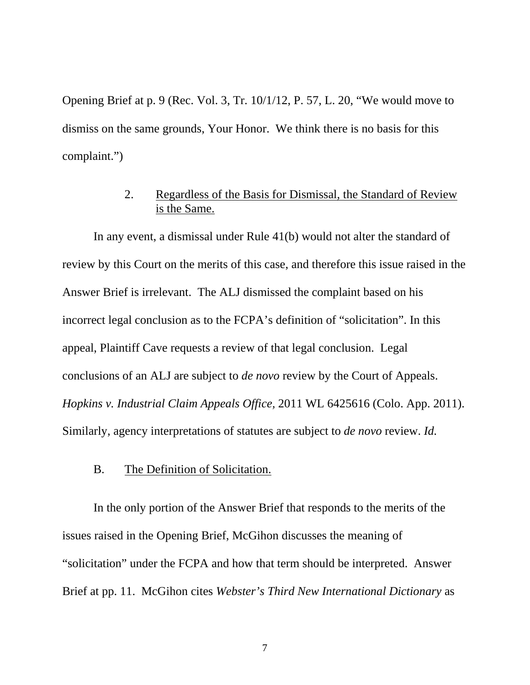Opening Brief at p. 9 (Rec. Vol. 3, Tr. 10/1/12, P. 57, L. 20, "We would move to dismiss on the same grounds, Your Honor. We think there is no basis for this complaint.")

# 2. Regardless of the Basis for Dismissal, the Standard of Review is the Same.

In any event, a dismissal under Rule 41(b) would not alter the standard of review by this Court on the merits of this case, and therefore this issue raised in the Answer Brief is irrelevant. The ALJ dismissed the complaint based on his incorrect legal conclusion as to the FCPA's definition of "solicitation". In this appeal, Plaintiff Cave requests a review of that legal conclusion. Legal conclusions of an ALJ are subject to *de novo* review by the Court of Appeals. *Hopkins v. Industrial Claim Appeals Office,* 2011 WL 6425616 (Colo. App. 2011). Similarly, agency interpretations of statutes are subject to *de novo* review. *Id.*

### B. The Definition of Solicitation.

In the only portion of the Answer Brief that responds to the merits of the issues raised in the Opening Brief, McGihon discusses the meaning of "solicitation" under the FCPA and how that term should be interpreted. Answer Brief at pp. 11. McGihon cites *Webster's Third New International Dictionary* as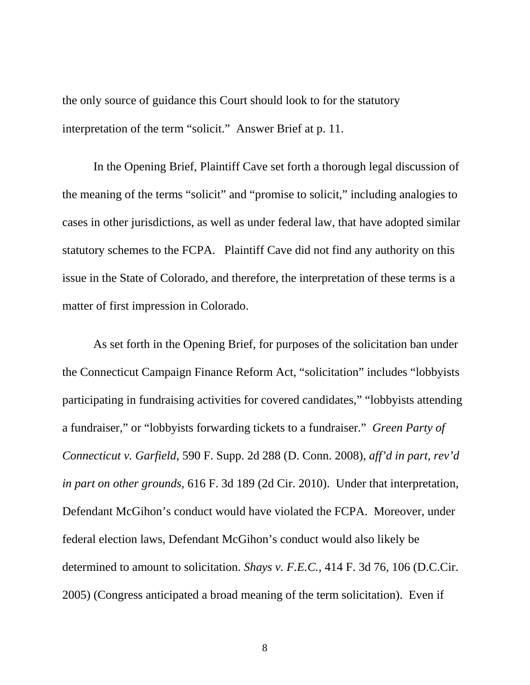the only source of guidance this Court should look to for the statutory interpretation of the term "solicit." Answer Brief at p. 11.

In the Opening Brief, Plaintiff Cave set forth a thorough legal discussion of the meaning of the terms "solicit" and "promise to solicit," including analogies to cases in other jurisdictions, as well as under federal law, that have adopted similar statutory schemes to the FCPA. Plaintiff Cave did not find any authority on this issue in the State of Colorado, and therefore, the interpretation of these terms is a matter of first impression in Colorado.

As set forth in the Opening Brief, for purposes of the solicitation ban under the Connecticut Campaign Finance Reform Act, "solicitation" includes "lobbyists participating in fundraising activities for covered candidates," "lobbyists attending a fundraiser," or "lobbyists forwarding tickets to a fundraiser." *Green Party of Connecticut v. Garfield,* 590 F. Supp. 2d 288 (D. Conn. 2008), *aff'd in part, rev'd in part on other grounds,* 616 F. 3d 189 (2d Cir. 2010). Under that interpretation, Defendant McGihon's conduct would have violated the FCPA. Moreover, under federal election laws, Defendant McGihon's conduct would also likely be determined to amount to solicitation. *Shays v. F.E.C.,* 414 F. 3d 76, 106 (D.C.Cir. 2005) (Congress anticipated a broad meaning of the term solicitation). Even if

8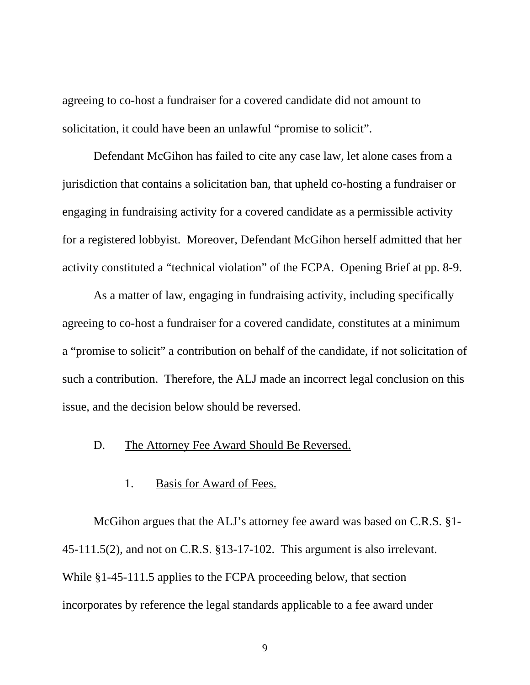agreeing to co-host a fundraiser for a covered candidate did not amount to solicitation, it could have been an unlawful "promise to solicit".

Defendant McGihon has failed to cite any case law, let alone cases from a jurisdiction that contains a solicitation ban, that upheld co-hosting a fundraiser or engaging in fundraising activity for a covered candidate as a permissible activity for a registered lobbyist. Moreover, Defendant McGihon herself admitted that her activity constituted a "technical violation" of the FCPA. Opening Brief at pp. 8-9.

As a matter of law, engaging in fundraising activity, including specifically agreeing to co-host a fundraiser for a covered candidate, constitutes at a minimum a "promise to solicit" a contribution on behalf of the candidate, if not solicitation of such a contribution. Therefore, the ALJ made an incorrect legal conclusion on this issue, and the decision below should be reversed.

# D. The Attorney Fee Award Should Be Reversed.

# 1. Basis for Award of Fees.

McGihon argues that the ALJ's attorney fee award was based on C.R.S. §1- 45-111.5(2), and not on C.R.S. §13-17-102. This argument is also irrelevant. While §1-45-111.5 applies to the FCPA proceeding below, that section incorporates by reference the legal standards applicable to a fee award under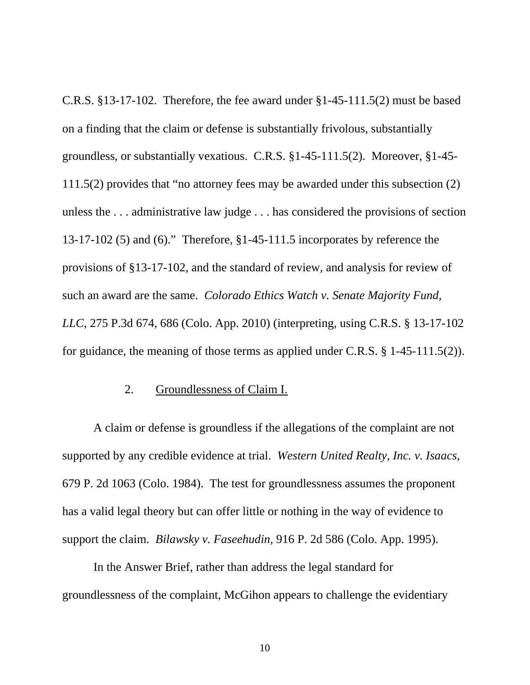C.R.S. §13-17-102. Therefore, the fee award under §1-45-111.5(2) must be based on a finding that the claim or defense is substantially frivolous, substantially groundless, or substantially vexatious. C.R.S. §1-45-111.5(2). Moreover, §1-45- 111.5(2) provides that "no attorney fees may be awarded under this subsection (2) unless the . . . administrative law judge . . . has considered the provisions of section 13-17-102 (5) and (6)." Therefore, §1-45-111.5 incorporates by reference the provisions of §13-17-102, and the standard of review, and analysis for review of such an award are the same. *Colorado Ethics Watch v. Senate Majority Fund, LLC*, 275 P.3d 674, 686 (Colo. App. 2010) (interpreting, using C.R.S. § 13-17-102 for guidance, the meaning of those terms as applied under C.R.S. § 1-45-111.5(2)).

# 2. Groundlessness of Claim I.

A claim or defense is groundless if the allegations of the complaint are not supported by any credible evidence at trial. *Western United Realty, Inc. v. Isaacs,*  679 P. 2d 1063 (Colo. 1984). The test for groundlessness assumes the proponent has a valid legal theory but can offer little or nothing in the way of evidence to support the claim. *Bilawsky v. Faseehudin,* 916 P. 2d 586 (Colo. App. 1995).

In the Answer Brief, rather than address the legal standard for groundlessness of the complaint, McGihon appears to challenge the evidentiary

10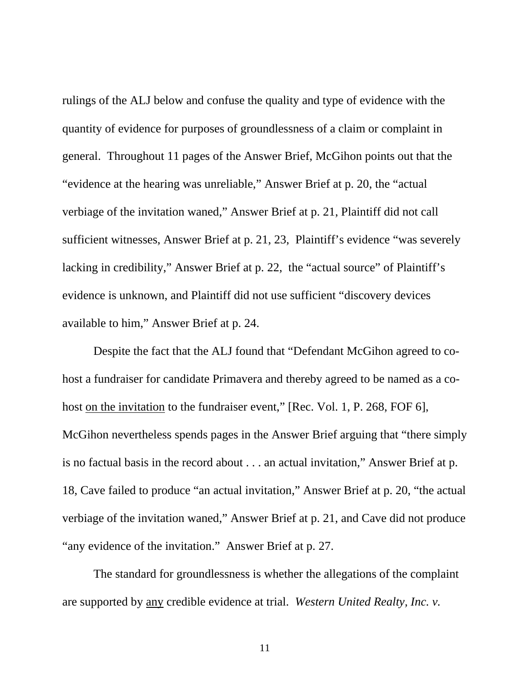rulings of the ALJ below and confuse the quality and type of evidence with the quantity of evidence for purposes of groundlessness of a claim or complaint in general. Throughout 11 pages of the Answer Brief, McGihon points out that the "evidence at the hearing was unreliable," Answer Brief at p. 20, the "actual verbiage of the invitation waned," Answer Brief at p. 21, Plaintiff did not call sufficient witnesses, Answer Brief at p. 21, 23, Plaintiff's evidence "was severely lacking in credibility," Answer Brief at p. 22, the "actual source" of Plaintiff's evidence is unknown, and Plaintiff did not use sufficient "discovery devices available to him," Answer Brief at p. 24.

Despite the fact that the ALJ found that "Defendant McGihon agreed to cohost a fundraiser for candidate Primavera and thereby agreed to be named as a cohost on the invitation to the fundraiser event," [Rec. Vol. 1, P. 268, FOF 6], McGihon nevertheless spends pages in the Answer Brief arguing that "there simply is no factual basis in the record about . . . an actual invitation," Answer Brief at p. 18, Cave failed to produce "an actual invitation," Answer Brief at p. 20, "the actual verbiage of the invitation waned," Answer Brief at p. 21, and Cave did not produce "any evidence of the invitation." Answer Brief at p. 27.

The standard for groundlessness is whether the allegations of the complaint are supported by any credible evidence at trial. *Western United Realty, Inc. v.*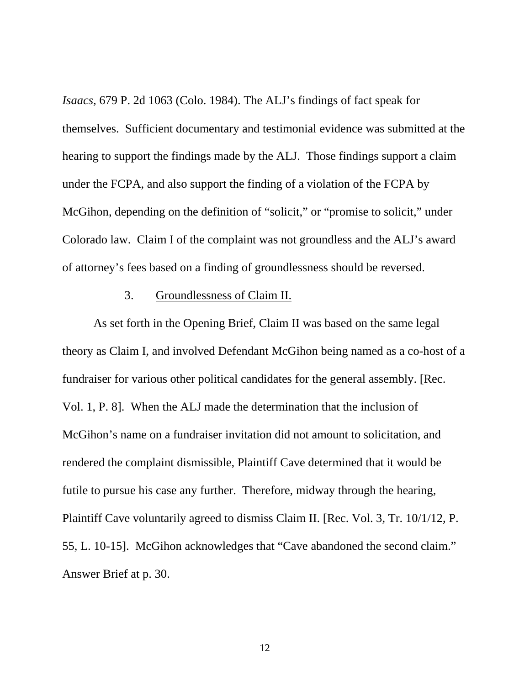*Isaacs,* 679 P. 2d 1063 (Colo. 1984). The ALJ's findings of fact speak for themselves. Sufficient documentary and testimonial evidence was submitted at the hearing to support the findings made by the ALJ. Those findings support a claim under the FCPA, and also support the finding of a violation of the FCPA by McGihon, depending on the definition of "solicit," or "promise to solicit," under Colorado law. Claim I of the complaint was not groundless and the ALJ's award of attorney's fees based on a finding of groundlessness should be reversed.

### 3. Groundlessness of Claim II.

As set forth in the Opening Brief, Claim II was based on the same legal theory as Claim I, and involved Defendant McGihon being named as a co-host of a fundraiser for various other political candidates for the general assembly. [Rec. Vol. 1, P. 8]. When the ALJ made the determination that the inclusion of McGihon's name on a fundraiser invitation did not amount to solicitation, and rendered the complaint dismissible, Plaintiff Cave determined that it would be futile to pursue his case any further. Therefore, midway through the hearing, Plaintiff Cave voluntarily agreed to dismiss Claim II. [Rec. Vol. 3, Tr. 10/1/12, P. 55, L. 10-15]. McGihon acknowledges that "Cave abandoned the second claim." Answer Brief at p. 30.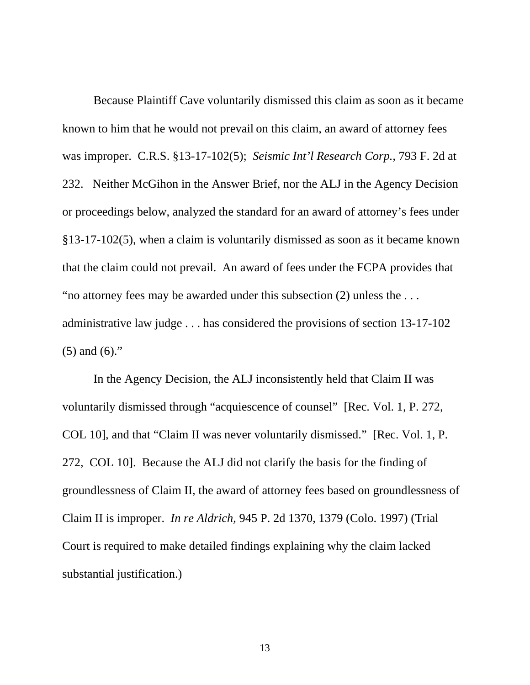Because Plaintiff Cave voluntarily dismissed this claim as soon as it became known to him that he would not prevail on this claim, an award of attorney fees was improper. C.R.S. §13-17-102(5); *Seismic Int'l Research Corp.,* 793 F. 2d at 232. Neither McGihon in the Answer Brief, nor the ALJ in the Agency Decision or proceedings below, analyzed the standard for an award of attorney's fees under §13-17-102(5), when a claim is voluntarily dismissed as soon as it became known that the claim could not prevail. An award of fees under the FCPA provides that "no attorney fees may be awarded under this subsection (2) unless the . . . administrative law judge . . . has considered the provisions of section 13-17-102 (5) and (6)."

In the Agency Decision, the ALJ inconsistently held that Claim II was voluntarily dismissed through "acquiescence of counsel" [Rec. Vol. 1, P. 272, COL 10], and that "Claim II was never voluntarily dismissed." [Rec. Vol. 1, P. 272, COL 10]. Because the ALJ did not clarify the basis for the finding of groundlessness of Claim II, the award of attorney fees based on groundlessness of Claim II is improper. *In re Aldrich,* 945 P. 2d 1370, 1379 (Colo. 1997) (Trial Court is required to make detailed findings explaining why the claim lacked substantial justification.)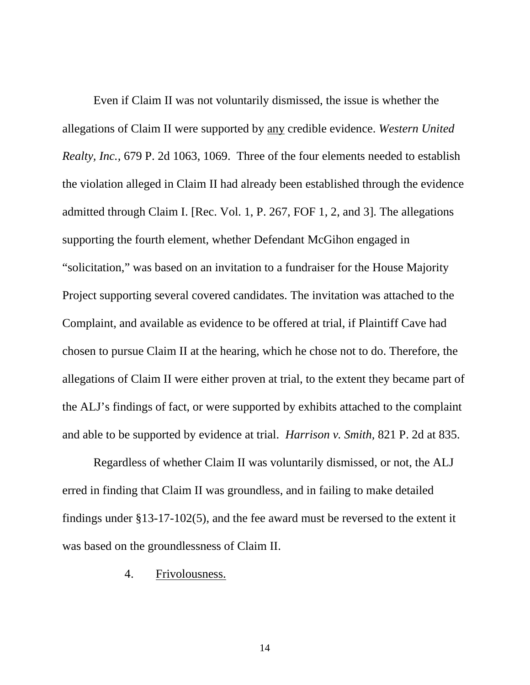Even if Claim II was not voluntarily dismissed, the issue is whether the allegations of Claim II were supported by any credible evidence. *Western United Realty, Inc.,* 679 P. 2d 1063, 1069. Three of the four elements needed to establish the violation alleged in Claim II had already been established through the evidence admitted through Claim I. [Rec. Vol. 1, P. 267, FOF 1, 2, and 3]. The allegations supporting the fourth element, whether Defendant McGihon engaged in "solicitation," was based on an invitation to a fundraiser for the House Majority Project supporting several covered candidates. The invitation was attached to the Complaint, and available as evidence to be offered at trial, if Plaintiff Cave had chosen to pursue Claim II at the hearing, which he chose not to do. Therefore, the allegations of Claim II were either proven at trial, to the extent they became part of the ALJ's findings of fact, or were supported by exhibits attached to the complaint and able to be supported by evidence at trial. *Harrison v. Smith,* 821 P. 2d at 835.

Regardless of whether Claim II was voluntarily dismissed, or not, the ALJ erred in finding that Claim II was groundless, and in failing to make detailed findings under §13-17-102(5), and the fee award must be reversed to the extent it was based on the groundlessness of Claim II.

### 4. Frivolousness.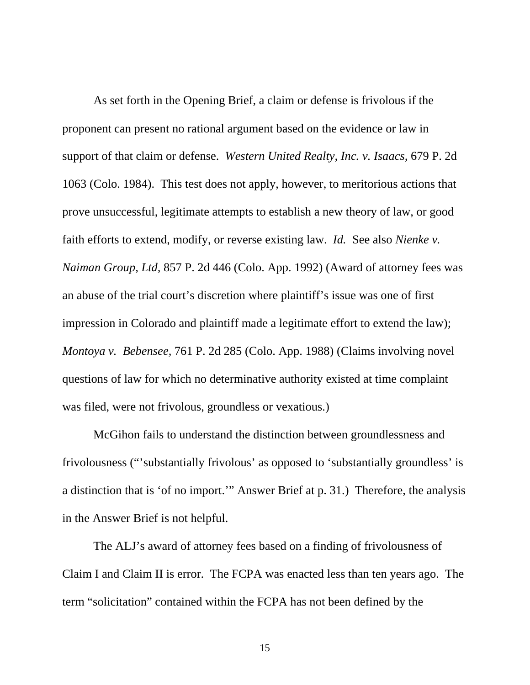As set forth in the Opening Brief, a claim or defense is frivolous if the proponent can present no rational argument based on the evidence or law in support of that claim or defense. *Western United Realty, Inc. v. Isaacs,* 679 P. 2d 1063 (Colo. 1984). This test does not apply, however, to meritorious actions that prove unsuccessful, legitimate attempts to establish a new theory of law, or good faith efforts to extend, modify, or reverse existing law. *Id.* See also *Nienke v. Naiman Group, Ltd,* 857 P. 2d 446 (Colo. App. 1992) (Award of attorney fees was an abuse of the trial court's discretion where plaintiff's issue was one of first impression in Colorado and plaintiff made a legitimate effort to extend the law); *Montoya v. Bebensee,* 761 P. 2d 285 (Colo. App. 1988) (Claims involving novel questions of law for which no determinative authority existed at time complaint was filed, were not frivolous, groundless or vexatious.)

McGihon fails to understand the distinction between groundlessness and frivolousness ("'substantially frivolous' as opposed to 'substantially groundless' is a distinction that is 'of no import.'" Answer Brief at p. 31.) Therefore, the analysis in the Answer Brief is not helpful.

The ALJ's award of attorney fees based on a finding of frivolousness of Claim I and Claim II is error. The FCPA was enacted less than ten years ago. The term "solicitation" contained within the FCPA has not been defined by the

15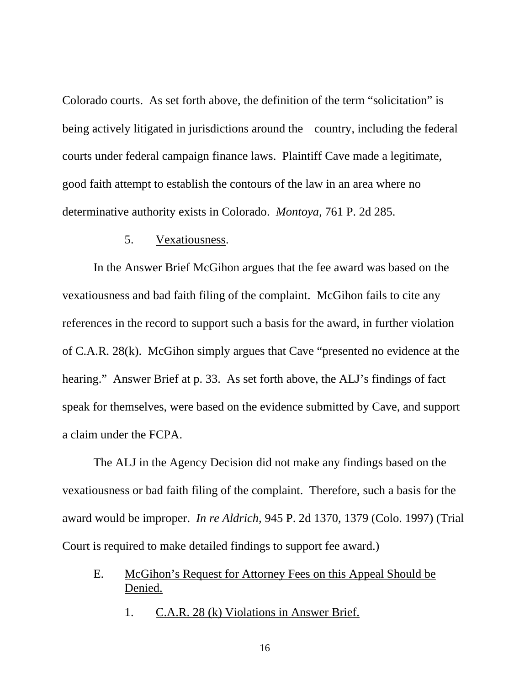Colorado courts. As set forth above, the definition of the term "solicitation" is being actively litigated in jurisdictions around the country, including the federal courts under federal campaign finance laws. Plaintiff Cave made a legitimate, good faith attempt to establish the contours of the law in an area where no determinative authority exists in Colorado. *Montoya,* 761 P. 2d 285.

### 5. Vexatiousness.

In the Answer Brief McGihon argues that the fee award was based on the vexatiousness and bad faith filing of the complaint. McGihon fails to cite any references in the record to support such a basis for the award, in further violation of C.A.R. 28(k). McGihon simply argues that Cave "presented no evidence at the hearing." Answer Brief at p. 33. As set forth above, the ALJ's findings of fact speak for themselves, were based on the evidence submitted by Cave, and support a claim under the FCPA.

The ALJ in the Agency Decision did not make any findings based on the vexatiousness or bad faith filing of the complaint. Therefore, such a basis for the award would be improper. *In re Aldrich,* 945 P. 2d 1370, 1379 (Colo. 1997) (Trial Court is required to make detailed findings to support fee award.)

- E. McGihon's Request for Attorney Fees on this Appeal Should be Denied.
	- 1. C.A.R. 28 (k) Violations in Answer Brief.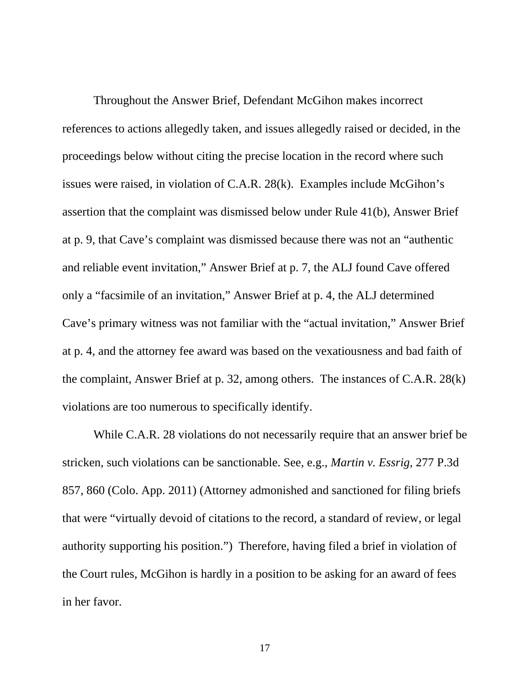Throughout the Answer Brief, Defendant McGihon makes incorrect references to actions allegedly taken, and issues allegedly raised or decided, in the proceedings below without citing the precise location in the record where such issues were raised, in violation of C.A.R. 28(k). Examples include McGihon's assertion that the complaint was dismissed below under Rule 41(b), Answer Brief at p. 9, that Cave's complaint was dismissed because there was not an "authentic and reliable event invitation," Answer Brief at p. 7, the ALJ found Cave offered only a "facsimile of an invitation," Answer Brief at p. 4, the ALJ determined Cave's primary witness was not familiar with the "actual invitation," Answer Brief at p. 4, and the attorney fee award was based on the vexatiousness and bad faith of the complaint, Answer Brief at p. 32, among others. The instances of C.A.R. 28(k) violations are too numerous to specifically identify.

While C.A.R. 28 violations do not necessarily require that an answer brief be stricken, such violations can be sanctionable. See, e.g., *Martin v. Essrig,* 277 P.3d 857, 860 (Colo. App. 2011) (Attorney admonished and sanctioned for filing briefs that were "virtually devoid of citations to the record, a standard of review, or legal authority supporting his position.") Therefore, having filed a brief in violation of the Court rules, McGihon is hardly in a position to be asking for an award of fees in her favor.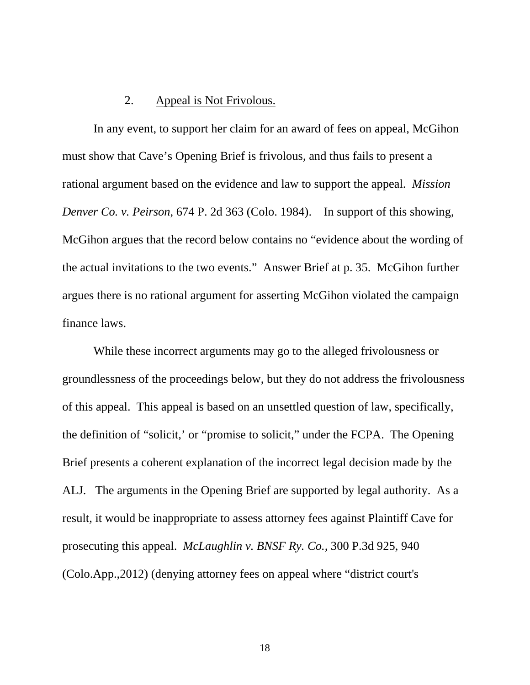## 2. Appeal is Not Frivolous.

In any event, to support her claim for an award of fees on appeal, McGihon must show that Cave's Opening Brief is frivolous, and thus fails to present a rational argument based on the evidence and law to support the appeal. *Mission Denver Co. v. Peirson,* 674 P. 2d 363 (Colo. 1984). In support of this showing, McGihon argues that the record below contains no "evidence about the wording of the actual invitations to the two events." Answer Brief at p. 35. McGihon further argues there is no rational argument for asserting McGihon violated the campaign finance laws.

While these incorrect arguments may go to the alleged frivolousness or groundlessness of the proceedings below, but they do not address the frivolousness of this appeal. This appeal is based on an unsettled question of law, specifically, the definition of "solicit,' or "promise to solicit," under the FCPA. The Opening Brief presents a coherent explanation of the incorrect legal decision made by the ALJ. The arguments in the Opening Brief are supported by legal authority. As a result, it would be inappropriate to assess attorney fees against Plaintiff Cave for prosecuting this appeal. *McLaughlin v. BNSF Ry. Co.,* 300 P.3d 925, 940 (Colo.App.,2012) (denying attorney fees on appeal where "district court's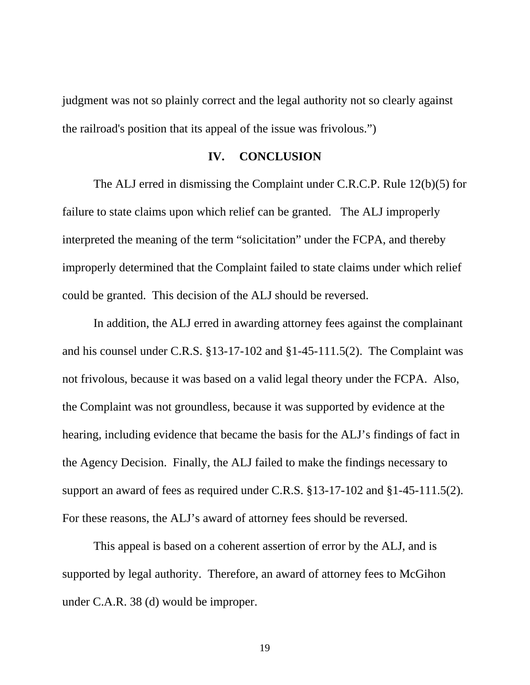judgment was not so plainly correct and the legal authority not so clearly against the railroad's position that its appeal of the issue was frivolous.")

### **IV. CONCLUSION**

The ALJ erred in dismissing the Complaint under C.R.C.P. Rule 12(b)(5) for failure to state claims upon which relief can be granted. The ALJ improperly interpreted the meaning of the term "solicitation" under the FCPA, and thereby improperly determined that the Complaint failed to state claims under which relief could be granted. This decision of the ALJ should be reversed.

In addition, the ALJ erred in awarding attorney fees against the complainant and his counsel under C.R.S. §13-17-102 and §1-45-111.5(2). The Complaint was not frivolous, because it was based on a valid legal theory under the FCPA. Also, the Complaint was not groundless, because it was supported by evidence at the hearing, including evidence that became the basis for the ALJ's findings of fact in the Agency Decision. Finally, the ALJ failed to make the findings necessary to support an award of fees as required under C.R.S. §13-17-102 and §1-45-111.5(2). For these reasons, the ALJ's award of attorney fees should be reversed.

This appeal is based on a coherent assertion of error by the ALJ, and is supported by legal authority. Therefore, an award of attorney fees to McGihon under C.A.R. 38 (d) would be improper.